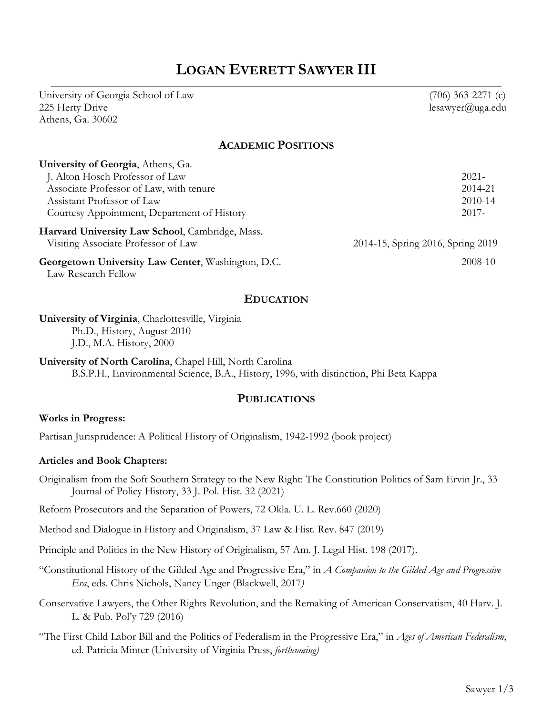# **LOGAN EVERETT SAWYER III**

University of Georgia School of Law (706) 363-2271 (c) 225 Herty Drive lesawyer@uga.edu Athens, Ga. 30602

#### **ACADEMIC POSITIONS**

| University of Georgia, Athens, Ga.                 |                                   |
|----------------------------------------------------|-----------------------------------|
| J. Alton Hosch Professor of Law                    | $2021 -$                          |
| Associate Professor of Law, with tenure            | 2014-21                           |
| Assistant Professor of Law                         | 2010-14                           |
| Courtesy Appointment, Department of History        | $2017 -$                          |
| Harvard University Law School, Cambridge, Mass.    |                                   |
| Visiting Associate Professor of Law                | 2014-15, Spring 2016, Spring 2019 |
| Georgetown University Law Center, Washington, D.C. | 2008-10                           |

Law Research Fellow

#### **EDUCATION**

#### **University of Virginia**, Charlottesville, Virginia Ph.D., History, August 2010 J.D., M.A. History, 2000

**University of North Carolina**, Chapel Hill, North Carolina B.S.P.H., Environmental Science, B.A., History, 1996, with distinction, Phi Beta Kappa

#### **PUBLICATIONS**

#### **Works in Progress:**

Partisan Jurisprudence: A Political History of Originalism, 1942-1992 (book project)

#### **Articles and Book Chapters:**

Originalism from the Soft Southern Strategy to the New Right: The Constitution Politics of Sam Ervin Jr., 33 Journal of Policy History, 33 J. Pol. Hist. 32 (2021)

Reform Prosecutors and the Separation of Powers, 72 Okla. U. L. Rev.660 (2020)

Method and Dialogue in History and Originalism, 37 Law & Hist. Rev. 847 (2019)

Principle and Politics in the New History of Originalism, 57 Am. J. Legal Hist. 198 (2017).

- "Constitutional History of the Gilded Age and Progressive Era," in *A Companion to the Gilded Age and Progressive Era*, eds. Chris Nichols, Nancy Unger (Blackwell, 2017*)*
- Conservative Lawyers, the Other Rights Revolution, and the Remaking of American Conservatism, 40 Harv. J. L. & Pub. Pol'y 729 (2016)

"The First Child Labor Bill and the Politics of Federalism in the Progressive Era," in *Ages of American Federalism*, ed. Patricia Minter (University of Virginia Press, *forthcoming)*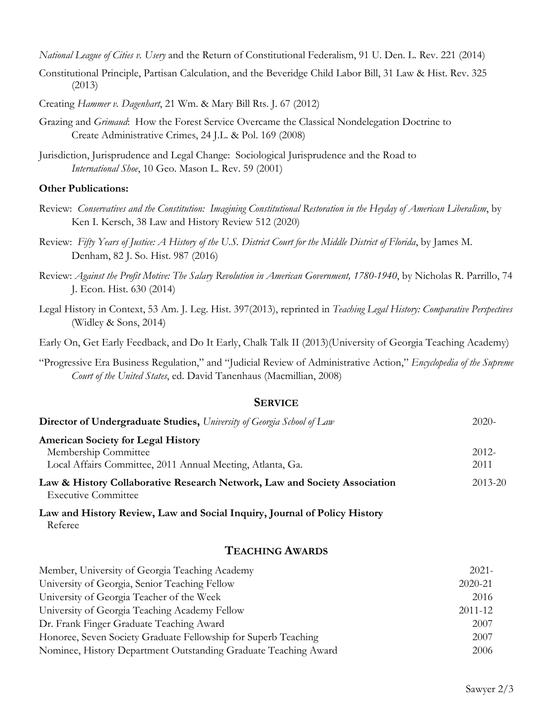*National League of Cities v. Usery* and the Return of Constitutional Federalism, 91 U. Den. L. Rev. 221 (2014)

- Constitutional Principle, Partisan Calculation, and the Beveridge Child Labor Bill, 31 Law & Hist. Rev. 325 (2013)
- Creating *Hammer v. Dagenhart*, 21 Wm. & Mary Bill Rts. J. 67 (2012)
- Grazing and *Grimaud*: How the Forest Service Overcame the Classical Nondelegation Doctrine to Create Administrative Crimes, 24 J.L. & Pol. 169 (2008)
- Jurisdiction, Jurisprudence and Legal Change: Sociological Jurisprudence and the Road to *International Shoe*, 10 Geo. Mason L. Rev. 59 (2001)

#### **Other Publications:**

- Review: *Conservatives and the Constitution: Imagining Constitutional Restoration in the Heyday of American Liberalism*, by Ken I. Kersch, 38 Law and History Review 512 (2020)
- Review: *Fifty Years of Justice: A History of the U.S. District Court for the Middle District of Florida*, by James M. Denham, 82 J. So. Hist. 987 (2016)
- Review: *Against the Profit Motive: The Salary Revolution in American Government, 1780-1940*, by Nicholas R. Parrillo, 74 J. Econ. Hist. 630 (2014)
- Legal History in Context, 53 Am. J. Leg. Hist. 397(2013), reprinted in *Teaching Legal History: Comparative Perspectives* (Widley & Sons, 2014)

Early On, Get Early Feedback, and Do It Early, Chalk Talk II (2013)(University of Georgia Teaching Academy)

"Progressive Era Business Regulation," and "Judicial Review of Administrative Action," *Encyclopedia of the Supreme Court of the United States*, ed. David Tanenhaus (Macmillian, 2008)

# **SERVICE**

| <b>Director of Undergraduate Studies, University of Georgia School of Law</b>                           | $2020-$  |
|---------------------------------------------------------------------------------------------------------|----------|
| <b>American Society for Legal History</b>                                                               |          |
| Membership Committee                                                                                    | $2012 -$ |
| Local Affairs Committee, 2011 Annual Meeting, Atlanta, Ga.                                              | 2011     |
| Law & History Collaborative Research Network, Law and Society Association<br><b>Executive Committee</b> | 2013-20  |

**Law and History Review, Law and Social Inquiry, Journal of Policy History** Referee

## **TEACHING AWARDS**

| Member, University of Georgia Teaching Academy                  | $2021 -$ |
|-----------------------------------------------------------------|----------|
| University of Georgia, Senior Teaching Fellow                   | 2020-21  |
| University of Georgia Teacher of the Week                       | 2016     |
| University of Georgia Teaching Academy Fellow                   | 2011-12  |
| Dr. Frank Finger Graduate Teaching Award                        | 2007     |
| Honoree, Seven Society Graduate Fellowship for Superb Teaching  | 2007     |
| Nominee, History Department Outstanding Graduate Teaching Award | 2006     |